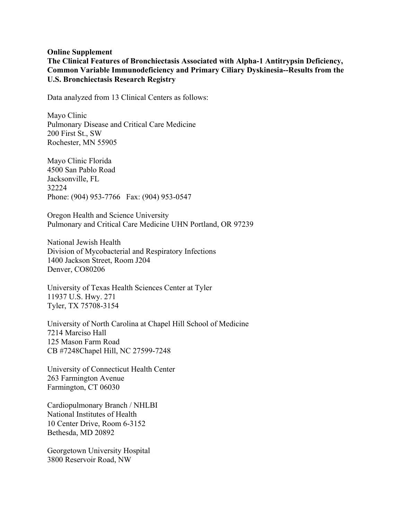## **Online Supplement**

**The Clinical Features of Bronchiectasis Associated with Alpha-1 Antitrypsin Deficiency, Common Variable Immunodeficiency and Primary Ciliary Dyskinesia--Results from the U.S. Bronchiectasis Research Registry**

Data analyzed from 13 Clinical Centers as follows:

Mayo Clinic Pulmonary Disease and Critical Care Medicine 200 First St., SW Rochester, MN 55905

Mayo Clinic Florida 4500 San Pablo Road Jacksonville, FL 32224 Phone: (904) 953-7766 Fax: (904) 953-0547

Oregon Health and Science University Pulmonary and Critical Care Medicine UHN Portland, OR 97239

National Jewish Health Division of Mycobacterial and Respiratory Infections 1400 Jackson Street, Room J204 Denver, CO80206

University of Texas Health Sciences Center at Tyler 11937 U.S. Hwy. 271 Tyler, TX 75708-3154

University of North Carolina at Chapel Hill School of Medicine 7214 Marciso Hall 125 Mason Farm Road CB #7248Chapel Hill, NC 27599-7248

University of Connecticut Health Center 263 Farmington Avenue Farmington, CT 06030

Cardiopulmonary Branch / NHLBI National Institutes of Health 10 Center Drive, Room 6-3152 Bethesda, MD 20892

Georgetown University Hospital 3800 Reservoir Road, NW